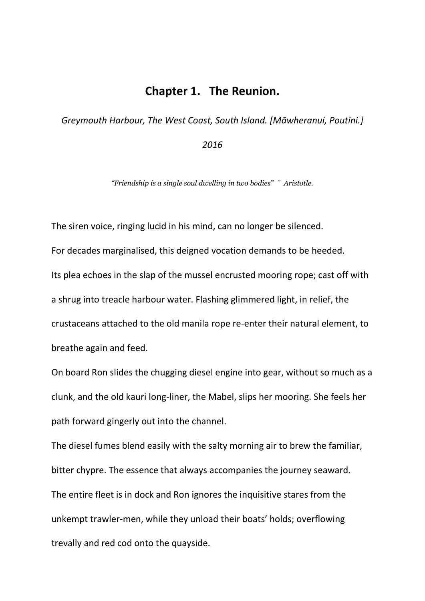## **Chapter 1. The Reunion.**

*Greymouth Harbour, The West Coast, South Island. [Māwheranui, Poutini.]* 

## *2016*

*"Friendship is a single soul dwelling in two bodies" ˜ Aristotle.*

The siren voice, ringing lucid in his mind, can no longer be silenced. For decades marginalised, this deigned vocation demands to be heeded. Its plea echoes in the slap of the mussel encrusted mooring rope; cast off with a shrug into treacle harbour water. Flashing glimmered light, in relief, the crustaceans attached to the old manila rope re-enter their natural element, to breathe again and feed.

On board Ron slides the chugging diesel engine into gear, without so much as a clunk, and the old kauri long-liner, the Mabel, slips her mooring. She feels her path forward gingerly out into the channel.

The diesel fumes blend easily with the salty morning air to brew the familiar, bitter chypre. The essence that always accompanies the journey seaward. The entire fleet is in dock and Ron ignores the inquisitive stares from the unkempt trawler-men, while they unload their boats' holds; overflowing trevally and red cod onto the quayside.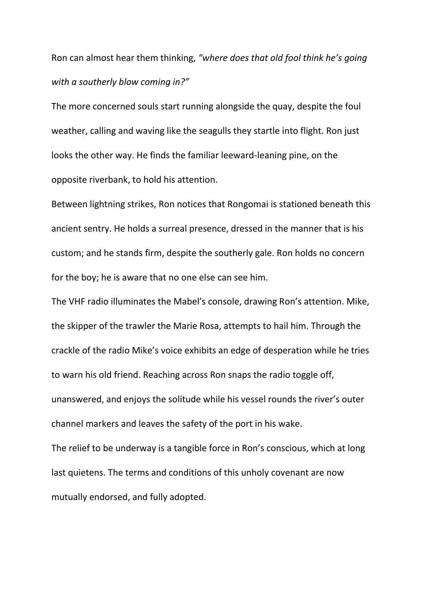Ron can almost hear them thinking, *"where does that old fool think he's going with a southerly blow coming in?"*

The more concerned souls start running alongside the quay, despite the foul weather, calling and waving like the seagulls they startle into flight. Ron just looks the other way. He finds the familiar leeward-leaning pine, on the opposite riverbank, to hold his attention.

Between lightning strikes, Ron notices that Rongomai is stationed beneath this ancient sentry. He holds a surreal presence, dressed in the manner that is his custom; and he stands firm, despite the southerly gale. Ron holds no concern for the boy; he is aware that no one else can see him.

The VHF radio illuminates the Mabel's console, drawing Ron's attention. Mike, the skipper of the trawler the Marie Rosa, attempts to hail him. Through the crackle of the radio Mike's voice exhibits an edge of desperation while he tries to warn his old friend. Reaching across Ron snaps the radio toggle off, unanswered, and enjoys the solitude while his vessel rounds the river's outer channel markers and leaves the safety of the port in his wake. The relief to be underway is a tangible force in Ron's conscious, which at long last quietens. The terms and conditions of this unholy covenant are now

mutually endorsed, and fully adopted.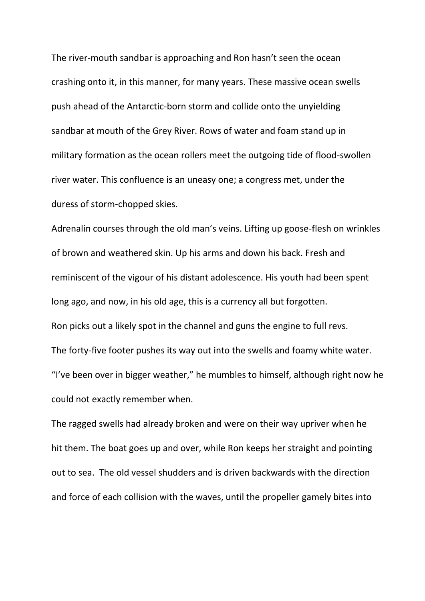The river-mouth sandbar is approaching and Ron hasn't seen the ocean crashing onto it, in this manner, for many years. These massive ocean swells push ahead of the Antarctic-born storm and collide onto the unyielding sandbar at mouth of the Grey River. Rows of water and foam stand up in military formation as the ocean rollers meet the outgoing tide of flood-swollen river water. This confluence is an uneasy one; a congress met, under the duress of storm-chopped skies.

Adrenalin courses through the old man's veins. Lifting up goose-flesh on wrinkles of brown and weathered skin. Up his arms and down his back. Fresh and reminiscent of the vigour of his distant adolescence. His youth had been spent long ago, and now, in his old age, this is a currency all but forgotten. Ron picks out a likely spot in the channel and guns the engine to full revs. The forty-five footer pushes its way out into the swells and foamy white water. "I've been over in bigger weather," he mumbles to himself, although right now he could not exactly remember when.

The ragged swells had already broken and were on their way upriver when he hit them. The boat goes up and over, while Ron keeps her straight and pointing out to sea. The old vessel shudders and is driven backwards with the direction and force of each collision with the waves, until the propeller gamely bites into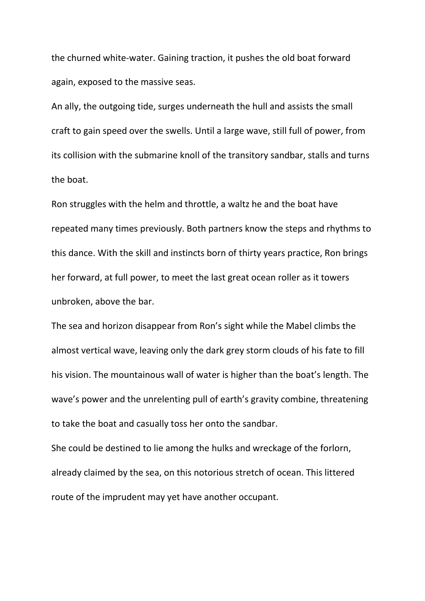the churned white-water. Gaining traction, it pushes the old boat forward again, exposed to the massive seas.

An ally, the outgoing tide, surges underneath the hull and assists the small craft to gain speed over the swells. Until a large wave, still full of power, from its collision with the submarine knoll of the transitory sandbar, stalls and turns the boat.

Ron struggles with the helm and throttle, a waltz he and the boat have repeated many times previously. Both partners know the steps and rhythms to this dance. With the skill and instincts born of thirty years practice, Ron brings her forward, at full power, to meet the last great ocean roller as it towers unbroken, above the bar.

The sea and horizon disappear from Ron's sight while the Mabel climbs the almost vertical wave, leaving only the dark grey storm clouds of his fate to fill his vision. The mountainous wall of water is higher than the boat's length. The wave's power and the unrelenting pull of earth's gravity combine, threatening to take the boat and casually toss her onto the sandbar.

She could be destined to lie among the hulks and wreckage of the forlorn, already claimed by the sea, on this notorious stretch of ocean. This littered route of the imprudent may yet have another occupant.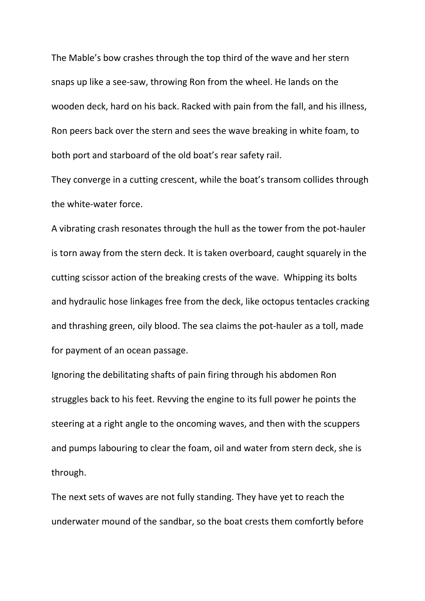The Mable's bow crashes through the top third of the wave and her stern snaps up like a see-saw, throwing Ron from the wheel. He lands on the wooden deck, hard on his back. Racked with pain from the fall, and his illness, Ron peers back over the stern and sees the wave breaking in white foam, to both port and starboard of the old boat's rear safety rail.

They converge in a cutting crescent, while the boat's transom collides through the white-water force.

A vibrating crash resonates through the hull as the tower from the pot-hauler is torn away from the stern deck. It is taken overboard, caught squarely in the cutting scissor action of the breaking crests of the wave. Whipping its bolts and hydraulic hose linkages free from the deck, like octopus tentacles cracking and thrashing green, oily blood. The sea claims the pot-hauler as a toll, made for payment of an ocean passage.

Ignoring the debilitating shafts of pain firing through his abdomen Ron struggles back to his feet. Revving the engine to its full power he points the steering at a right angle to the oncoming waves, and then with the scuppers and pumps labouring to clear the foam, oil and water from stern deck, she is through.

The next sets of waves are not fully standing. They have yet to reach the underwater mound of the sandbar, so the boat crests them comfortly before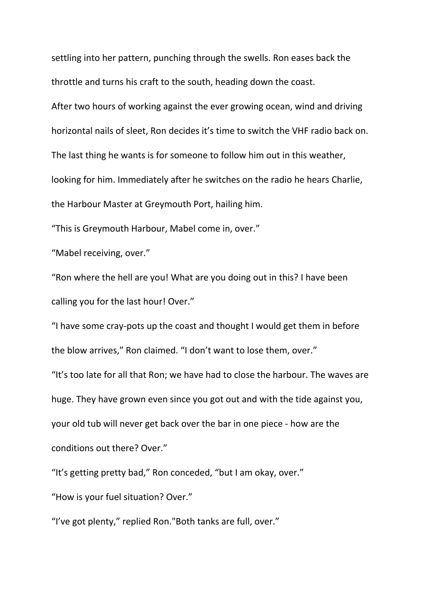settling into her pattern, punching through the swells. Ron eases back the throttle and turns his craft to the south, heading down the coast.

After two hours of working against the ever growing ocean, wind and driving horizontal nails of sleet, Ron decides it's time to switch the VHF radio back on. The last thing he wants is for someone to follow him out in this weather, looking for him. Immediately after he switches on the radio he hears Charlie, the Harbour Master at Greymouth Port, hailing him.

"This is Greymouth Harbour, Mabel come in, over."

"Mabel receiving, over."

"Ron where the hell are you! What are you doing out in this? I have been calling you for the last hour! Over."

"I have some cray-pots up the coast and thought I would get them in before the blow arrives," Ron claimed. "I don't want to lose them, over."

"It's too late for all that Ron; we have had to close the harbour. The waves are huge. They have grown even since you got out and with the tide against you, your old tub will never get back over the bar in one piece - how are the conditions out there? Over."

"It's getting pretty bad," Ron conceded, "but I am okay, over."

"How is your fuel situation? Over."

"I've got plenty," replied Ron."Both tanks are full, over."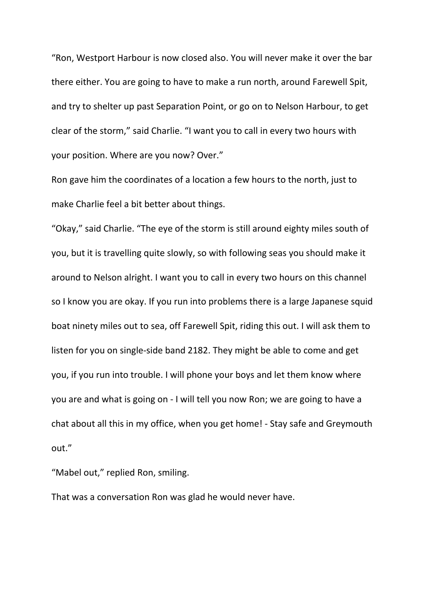"Ron, Westport Harbour is now closed also. You will never make it over the bar there either. You are going to have to make a run north, around Farewell Spit, and try to shelter up past Separation Point, or go on to Nelson Harbour, to get clear of the storm," said Charlie. "I want you to call in every two hours with your position. Where are you now? Over."

Ron gave him the coordinates of a location a few hours to the north, just to make Charlie feel a bit better about things.

"Okay," said Charlie. "The eye of the storm is still around eighty miles south of you, but it is travelling quite slowly, so with following seas you should make it around to Nelson alright. I want you to call in every two hours on this channel so I know you are okay. If you run into problems there is a large Japanese squid boat ninety miles out to sea, off Farewell Spit, riding this out. I will ask them to listen for you on single-side band 2182. They might be able to come and get you, if you run into trouble. I will phone your boys and let them know where you are and what is going on - I will tell you now Ron; we are going to have a chat about all this in my office, when you get home! - Stay safe and Greymouth out."

"Mabel out," replied Ron, smiling.

That was a conversation Ron was glad he would never have.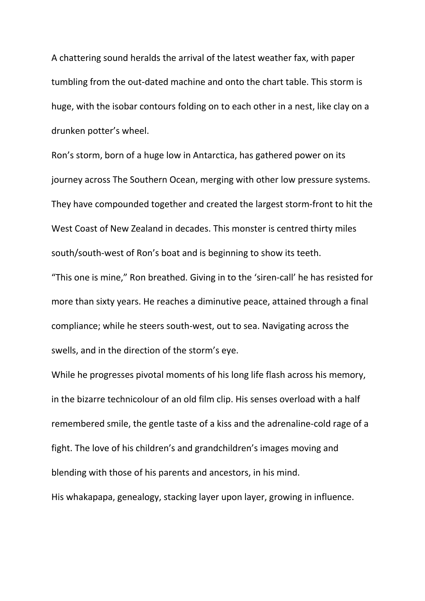A chattering sound heralds the arrival of the latest weather fax, with paper tumbling from the out-dated machine and onto the chart table. This storm is huge, with the isobar contours folding on to each other in a nest, like clay on a drunken potter's wheel.

Ron's storm, born of a huge low in Antarctica, has gathered power on its journey across The Southern Ocean, merging with other low pressure systems. They have compounded together and created the largest storm-front to hit the West Coast of New Zealand in decades. This monster is centred thirty miles south/south-west of Ron's boat and is beginning to show its teeth.

"This one is mine," Ron breathed. Giving in to the 'siren-call' he has resisted for more than sixty years. He reaches a diminutive peace, attained through a final compliance; while he steers south-west, out to sea. Navigating across the swells, and in the direction of the storm's eye.

While he progresses pivotal moments of his long life flash across his memory, in the bizarre technicolour of an old film clip. His senses overload with a half remembered smile, the gentle taste of a kiss and the adrenaline-cold rage of a fight. The love of his children's and grandchildren's images moving and blending with those of his parents and ancestors, in his mind. His whakapapa, genealogy, stacking layer upon layer, growing in influence.